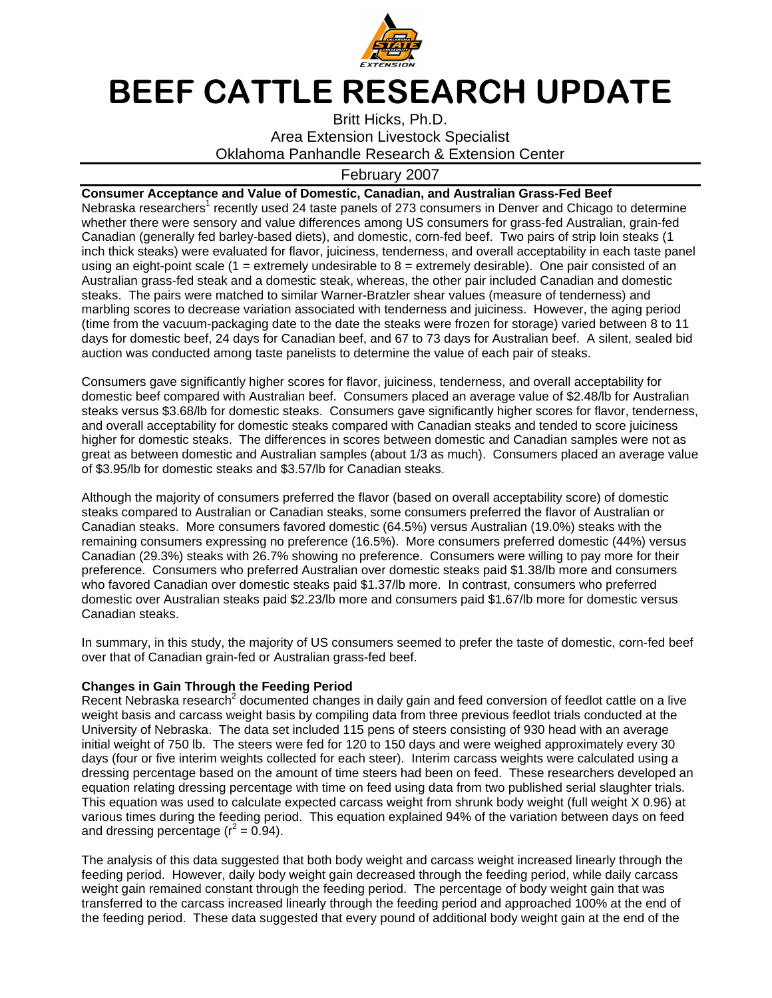

## BEEF CATTLE RESEARCH UPDATE

Britt Hicks, Ph.D. Area Extension Livestock Specialist Oklahoma Panhandle Research & Extension Center

## February 2007

**Consumer Acceptance and Value of Domestic, Canadian, and Australian Grass-Fed Beef**  Nebraska researchers<sup>1</sup> recently used 24 taste panels of 273 consumers in Denver and Chicago to determine whether there were sensory and value differences among US consumers for grass-fed Australian, grain-fed Canadian (generally fed barley-based diets), and domestic, corn-fed beef. Two pairs of strip loin steaks (1 inch thick steaks) were evaluated for flavor, juiciness, tenderness, and overall acceptability in each taste panel using an eight-point scale (1 = extremely undesirable to  $8$  = extremely desirable). One pair consisted of an Australian grass-fed steak and a domestic steak, whereas, the other pair included Canadian and domestic steaks. The pairs were matched to similar Warner-Bratzler shear values (measure of tenderness) and marbling scores to decrease variation associated with tenderness and juiciness. However, the aging period (time from the vacuum-packaging date to the date the steaks were frozen for storage) varied between 8 to 11 days for domestic beef, 24 days for Canadian beef, and 67 to 73 days for Australian beef. A silent, sealed bid auction was conducted among taste panelists to determine the value of each pair of steaks.

Consumers gave significantly higher scores for flavor, juiciness, tenderness, and overall acceptability for domestic beef compared with Australian beef. Consumers placed an average value of \$2.48/lb for Australian steaks versus \$3.68/lb for domestic steaks. Consumers gave significantly higher scores for flavor, tenderness, and overall acceptability for domestic steaks compared with Canadian steaks and tended to score juiciness higher for domestic steaks. The differences in scores between domestic and Canadian samples were not as great as between domestic and Australian samples (about 1/3 as much). Consumers placed an average value of \$3.95/lb for domestic steaks and \$3.57/lb for Canadian steaks.

Although the majority of consumers preferred the flavor (based on overall acceptability score) of domestic steaks compared to Australian or Canadian steaks, some consumers preferred the flavor of Australian or Canadian steaks. More consumers favored domestic (64.5%) versus Australian (19.0%) steaks with the remaining consumers expressing no preference (16.5%). More consumers preferred domestic (44%) versus Canadian (29.3%) steaks with 26.7% showing no preference. Consumers were willing to pay more for their preference. Consumers who preferred Australian over domestic steaks paid \$1.38/lb more and consumers who favored Canadian over domestic steaks paid \$1.37/lb more. In contrast, consumers who preferred domestic over Australian steaks paid \$2.23/lb more and consumers paid \$1.67/lb more for domestic versus Canadian steaks.

In summary, in this study, the majority of US consumers seemed to prefer the taste of domestic, corn-fed beef over that of Canadian grain-fed or Australian grass-fed beef.

## **Changes in Gain Through the Feeding Period**

Recent Nebraska research<sup>2</sup> documented changes in daily gain and feed conversion of feedlot cattle on a live weight basis and carcass weight basis by compiling data from three previous feedlot trials conducted at the University of Nebraska. The data set included 115 pens of steers consisting of 930 head with an average initial weight of 750 lb. The steers were fed for 120 to 150 days and were weighed approximately every 30 days (four or five interim weights collected for each steer). Interim carcass weights were calculated using a dressing percentage based on the amount of time steers had been on feed. These researchers developed an equation relating dressing percentage with time on feed using data from two published serial slaughter trials. This equation was used to calculate expected carcass weight from shrunk body weight (full weight X 0.96) at various times during the feeding period. This equation explained 94% of the variation between days on feed and dressing percentage  $(r^2 = 0.94)$ .

The analysis of this data suggested that both body weight and carcass weight increased linearly through the feeding period. However, daily body weight gain decreased through the feeding period, while daily carcass weight gain remained constant through the feeding period. The percentage of body weight gain that was transferred to the carcass increased linearly through the feeding period and approached 100% at the end of the feeding period. These data suggested that every pound of additional body weight gain at the end of the